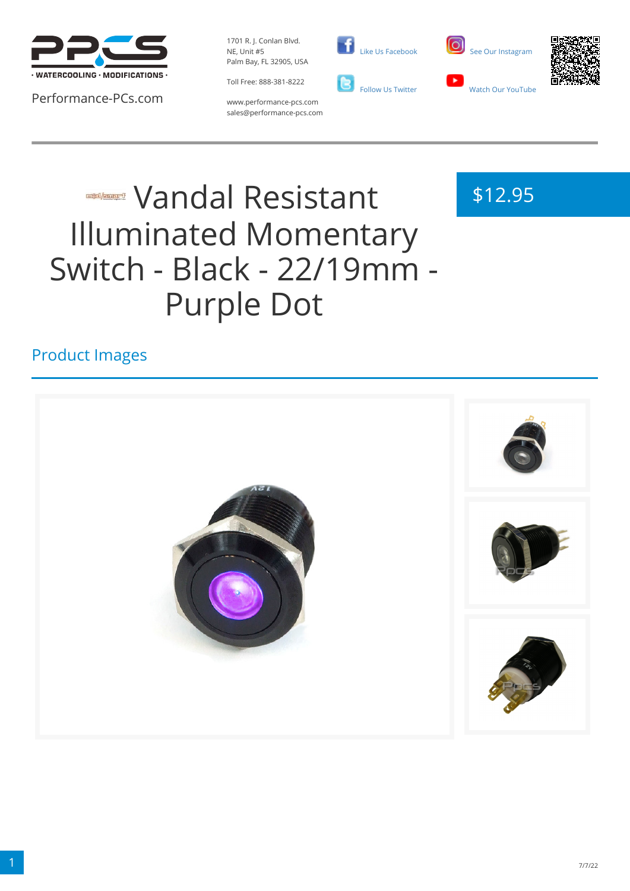

Performance-PCs.com

1701 R. J. Conlan Blvd. NE, Unit #5 Palm Bay, FL 32905, USA

Toll Free: 888-381-8222





\$12.95



www.performance-pcs.com sales@performance-pcs.com

# **WANDAL Resistant** Illuminated Momentary Switch - Black - 22/19mm - Purple Dot

## Product Images

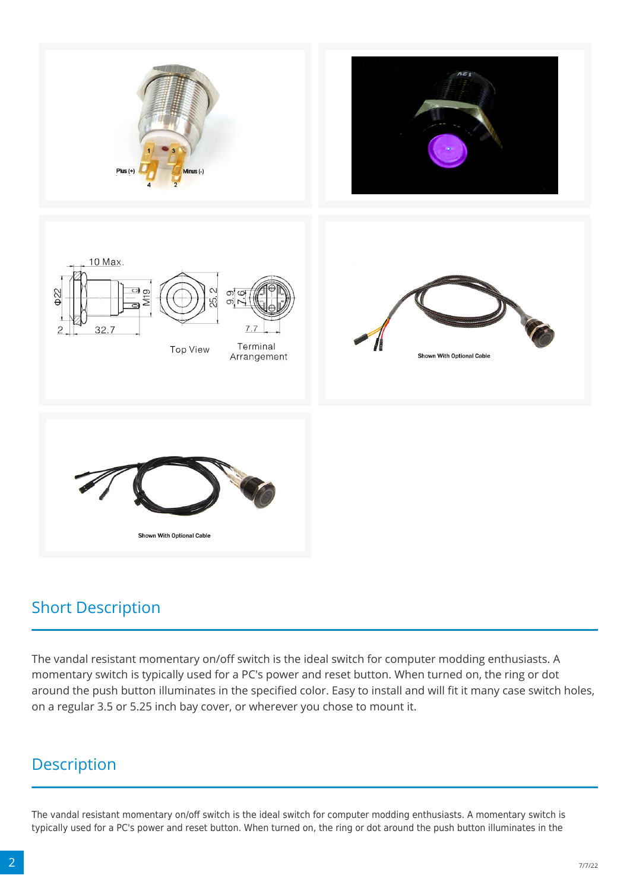

#### Short Description

The vandal resistant momentary on/off switch is the ideal switch for computer modding enthusiasts. A momentary switch is typically used for a PC's power and reset button. When turned on, the ring or dot around the push button illuminates in the specified color. Easy to install and will fit it many case switch holes, on a regular 3.5 or 5.25 inch bay cover, or wherever you chose to mount it.

## Description

The vandal resistant momentary on/off switch is the ideal switch for computer modding enthusiasts. A momentary switch is typically used for a PC's power and reset button. When turned on, the ring or dot around the push button illuminates in the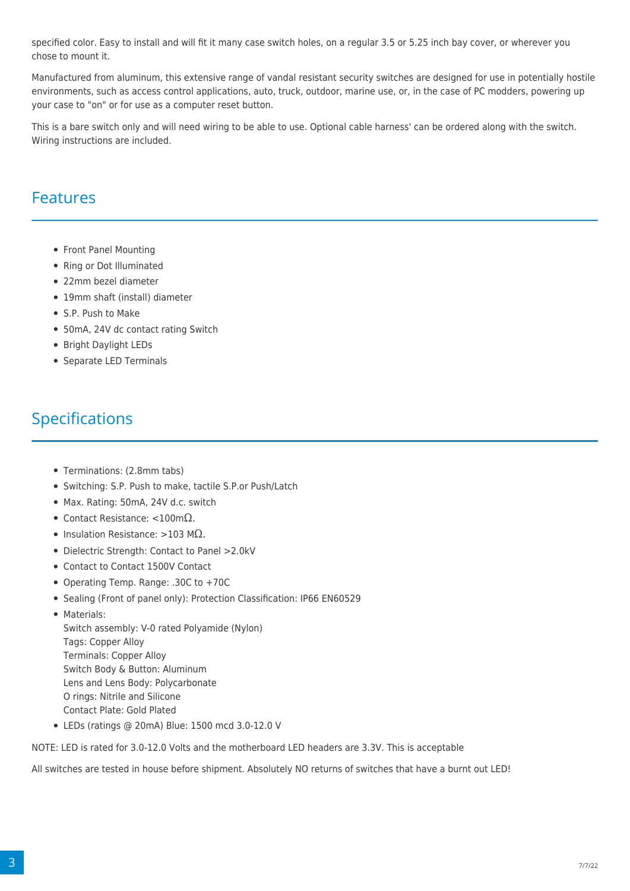specified color. Easy to install and will fit it many case switch holes, on a regular 3.5 or 5.25 inch bay cover, or wherever you chose to mount it.

Manufactured from aluminum, this extensive range of vandal resistant security switches are designed for use in potentially hostile environments, such as access control applications, auto, truck, outdoor, marine use, or, in the case of PC modders, powering up your case to "on" or for use as a computer reset button.

This is a bare switch only and will need wiring to be able to use. Optional cable harness' can be ordered along with the switch. Wiring instructions are included.

#### Features

- Front Panel Mounting
- Ring or Dot Illuminated
- 22mm bezel diameter
- 19mm shaft (install) diameter
- S.P. Push to Make
- 50mA, 24V dc contact rating Switch
- Bright Daylight LEDs
- Separate LED Terminals

### Specifications

- Terminations: (2.8mm tabs)
- Switching: S.P. Push to make, tactile S.P.or Push/Latch
- Max. Rating: 50mA, 24V d.c. switch
- Contact Resistance: <100mΩ.
- Insulation Resistance: >103 M $\Omega$ .
- Dielectric Strength: Contact to Panel >2.0kV
- Contact to Contact 1500V Contact
- Operating Temp. Range: .30C to +70C
- Sealing (Front of panel only): Protection Classification: IP66 EN60529
- Materials: Switch assembly: V-0 rated Polyamide (Nylon) Tags: Copper Alloy Terminals: Copper Alloy Switch Body & Button: Aluminum Lens and Lens Body: Polycarbonate O rings: Nitrile and Silicone Contact Plate: Gold Plated
- LEDs (ratings @ 20mA) Blue: 1500 mcd 3.0-12.0 V

NOTE: LED is rated for 3.0-12.0 Volts and the motherboard LED headers are 3.3V. This is acceptable

All switches are tested in house before shipment. Absolutely NO returns of switches that have a burnt out LED!